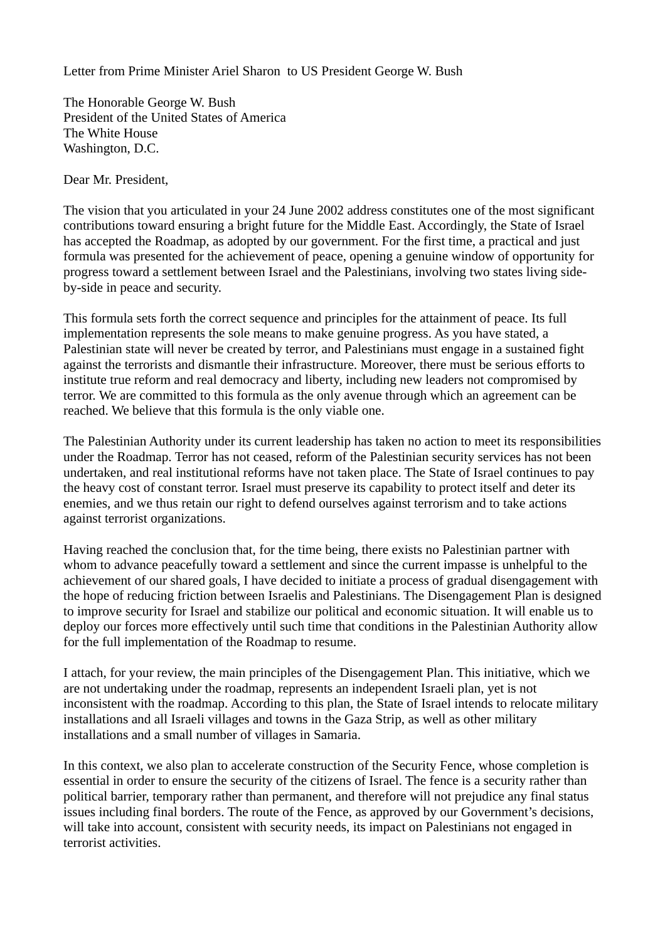Letter from Prime Minister Ariel Sharon to US President George W. Bush

The Honorable George W. Bush President of the United States of America The White House Washington, D.C.

Dear Mr. President,

The vision that you articulated in your 24 June 2002 address constitutes one of the most significant contributions toward ensuring a bright future for the Middle East. Accordingly, the State of Israel has accepted the Roadmap, as adopted by our government. For the first time, a practical and just formula was presented for the achievement of peace, opening a genuine window of opportunity for progress toward a settlement between Israel and the Palestinians, involving two states living sideby-side in peace and security.

This formula sets forth the correct sequence and principles for the attainment of peace. Its full implementation represents the sole means to make genuine progress. As you have stated, a Palestinian state will never be created by terror, and Palestinians must engage in a sustained fight against the terrorists and dismantle their infrastructure. Moreover, there must be serious efforts to institute true reform and real democracy and liberty, including new leaders not compromised by terror. We are committed to this formula as the only avenue through which an agreement can be reached. We believe that this formula is the only viable one.

The Palestinian Authority under its current leadership has taken no action to meet its responsibilities under the Roadmap. Terror has not ceased, reform of the Palestinian security services has not been undertaken, and real institutional reforms have not taken place. The State of Israel continues to pay the heavy cost of constant terror. Israel must preserve its capability to protect itself and deter its enemies, and we thus retain our right to defend ourselves against terrorism and to take actions against terrorist organizations.

Having reached the conclusion that, for the time being, there exists no Palestinian partner with whom to advance peacefully toward a settlement and since the current impasse is unhelpful to the achievement of our shared goals, I have decided to initiate a process of gradual disengagement with the hope of reducing friction between Israelis and Palestinians. The Disengagement Plan is designed to improve security for Israel and stabilize our political and economic situation. It will enable us to deploy our forces more effectively until such time that conditions in the Palestinian Authority allow for the full implementation of the Roadmap to resume.

I attach, for your review, the main principles of the Disengagement Plan. This initiative, which we are not undertaking under the roadmap, represents an independent Israeli plan, yet is not inconsistent with the roadmap. According to this plan, the State of Israel intends to relocate military installations and all Israeli villages and towns in the Gaza Strip, as well as other military installations and a small number of villages in Samaria.

In this context, we also plan to accelerate construction of the Security Fence, whose completion is essential in order to ensure the security of the citizens of Israel. The fence is a security rather than political barrier, temporary rather than permanent, and therefore will not prejudice any final status issues including final borders. The route of the Fence, as approved by our Government's decisions, will take into account, consistent with security needs, its impact on Palestinians not engaged in terrorist activities.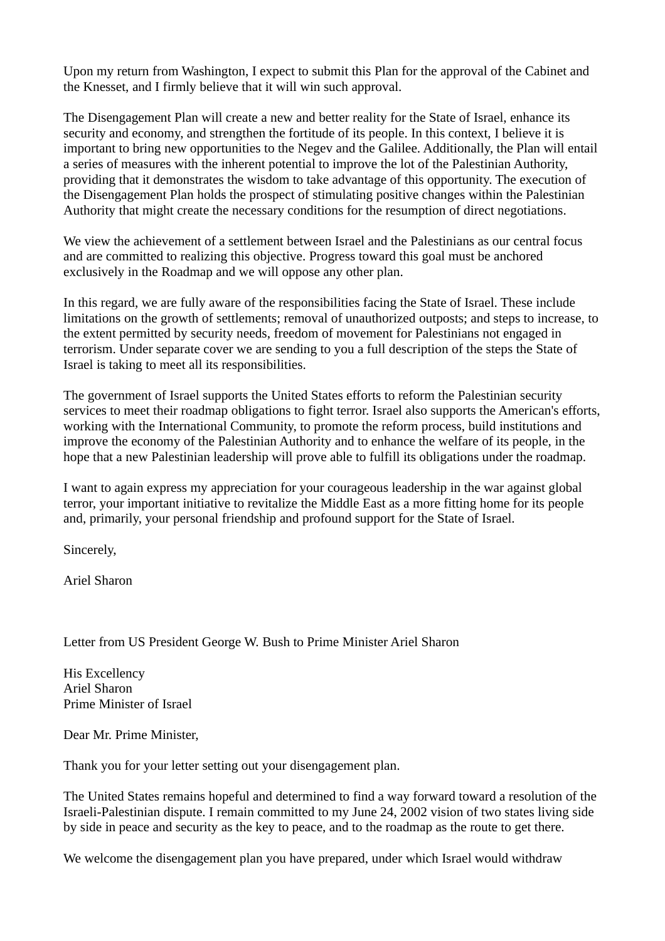Upon my return from Washington, I expect to submit this Plan for the approval of the Cabinet and the Knesset, and I firmly believe that it will win such approval.

The Disengagement Plan will create a new and better reality for the State of Israel, enhance its security and economy, and strengthen the fortitude of its people. In this context, I believe it is important to bring new opportunities to the Negev and the Galilee. Additionally, the Plan will entail a series of measures with the inherent potential to improve the lot of the Palestinian Authority, providing that it demonstrates the wisdom to take advantage of this opportunity. The execution of the Disengagement Plan holds the prospect of stimulating positive changes within the Palestinian Authority that might create the necessary conditions for the resumption of direct negotiations.

We view the achievement of a settlement between Israel and the Palestinians as our central focus and are committed to realizing this objective. Progress toward this goal must be anchored exclusively in the Roadmap and we will oppose any other plan.

In this regard, we are fully aware of the responsibilities facing the State of Israel. These include limitations on the growth of settlements; removal of unauthorized outposts; and steps to increase, to the extent permitted by security needs, freedom of movement for Palestinians not engaged in terrorism. Under separate cover we are sending to you a full description of the steps the State of Israel is taking to meet all its responsibilities.

The government of Israel supports the United States efforts to reform the Palestinian security services to meet their roadmap obligations to fight terror. Israel also supports the American's efforts, working with the International Community, to promote the reform process, build institutions and improve the economy of the Palestinian Authority and to enhance the welfare of its people, in the hope that a new Palestinian leadership will prove able to fulfill its obligations under the roadmap.

I want to again express my appreciation for your courageous leadership in the war against global terror, your important initiative to revitalize the Middle East as a more fitting home for its people and, primarily, your personal friendship and profound support for the State of Israel.

Sincerely,

Ariel Sharon

Letter from US President George W. Bush to Prime Minister Ariel Sharon

His Excellency Ariel Sharon Prime Minister of Israel

Dear Mr. Prime Minister,

Thank you for your letter setting out your disengagement plan.

The United States remains hopeful and determined to find a way forward toward a resolution of the Israeli-Palestinian dispute. I remain committed to my June 24, 2002 vision of two states living side by side in peace and security as the key to peace, and to the roadmap as the route to get there.

We welcome the disengagement plan you have prepared, under which Israel would withdraw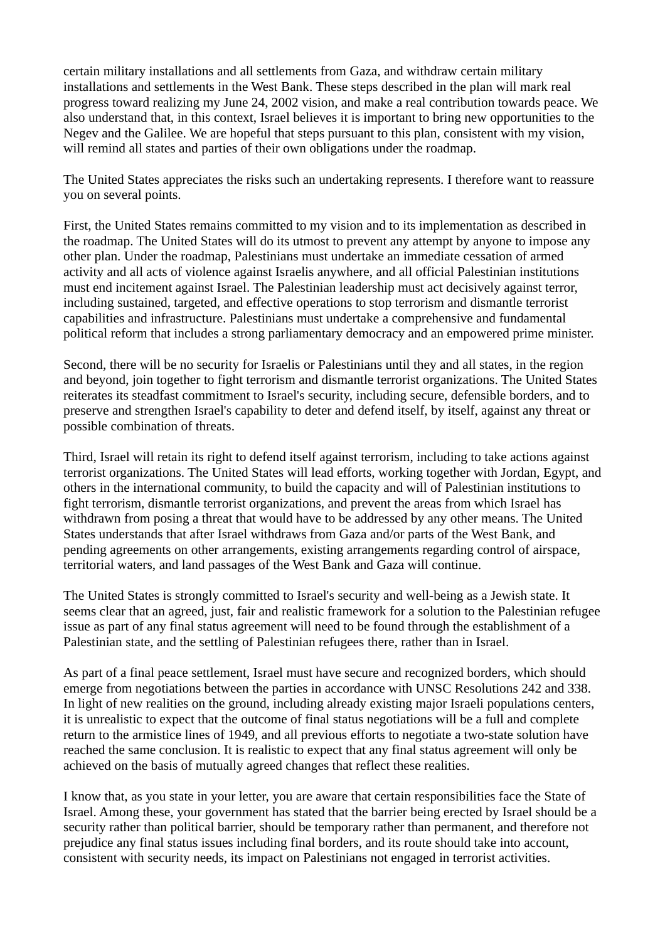certain military installations and all settlements from Gaza, and withdraw certain military installations and settlements in the West Bank. These steps described in the plan will mark real progress toward realizing my June 24, 2002 vision, and make a real contribution towards peace. We also understand that, in this context, Israel believes it is important to bring new opportunities to the Negev and the Galilee. We are hopeful that steps pursuant to this plan, consistent with my vision, will remind all states and parties of their own obligations under the roadmap.

The United States appreciates the risks such an undertaking represents. I therefore want to reassure you on several points.

First, the United States remains committed to my vision and to its implementation as described in the roadmap. The United States will do its utmost to prevent any attempt by anyone to impose any other plan. Under the roadmap, Palestinians must undertake an immediate cessation of armed activity and all acts of violence against Israelis anywhere, and all official Palestinian institutions must end incitement against Israel. The Palestinian leadership must act decisively against terror, including sustained, targeted, and effective operations to stop terrorism and dismantle terrorist capabilities and infrastructure. Palestinians must undertake a comprehensive and fundamental political reform that includes a strong parliamentary democracy and an empowered prime minister.

Second, there will be no security for Israelis or Palestinians until they and all states, in the region and beyond, join together to fight terrorism and dismantle terrorist organizations. The United States reiterates its steadfast commitment to Israel's security, including secure, defensible borders, and to preserve and strengthen Israel's capability to deter and defend itself, by itself, against any threat or possible combination of threats.

Third, Israel will retain its right to defend itself against terrorism, including to take actions against terrorist organizations. The United States will lead efforts, working together with Jordan, Egypt, and others in the international community, to build the capacity and will of Palestinian institutions to fight terrorism, dismantle terrorist organizations, and prevent the areas from which Israel has withdrawn from posing a threat that would have to be addressed by any other means. The United States understands that after Israel withdraws from Gaza and/or parts of the West Bank, and pending agreements on other arrangements, existing arrangements regarding control of airspace, territorial waters, and land passages of the West Bank and Gaza will continue.

The United States is strongly committed to Israel's security and well-being as a Jewish state. It seems clear that an agreed, just, fair and realistic framework for a solution to the Palestinian refugee issue as part of any final status agreement will need to be found through the establishment of a Palestinian state, and the settling of Palestinian refugees there, rather than in Israel.

As part of a final peace settlement, Israel must have secure and recognized borders, which should emerge from negotiations between the parties in accordance with UNSC Resolutions 242 and 338. In light of new realities on the ground, including already existing major Israeli populations centers, it is unrealistic to expect that the outcome of final status negotiations will be a full and complete return to the armistice lines of 1949, and all previous efforts to negotiate a two-state solution have reached the same conclusion. It is realistic to expect that any final status agreement will only be achieved on the basis of mutually agreed changes that reflect these realities.

I know that, as you state in your letter, you are aware that certain responsibilities face the State of Israel. Among these, your government has stated that the barrier being erected by Israel should be a security rather than political barrier, should be temporary rather than permanent, and therefore not prejudice any final status issues including final borders, and its route should take into account, consistent with security needs, its impact on Palestinians not engaged in terrorist activities.